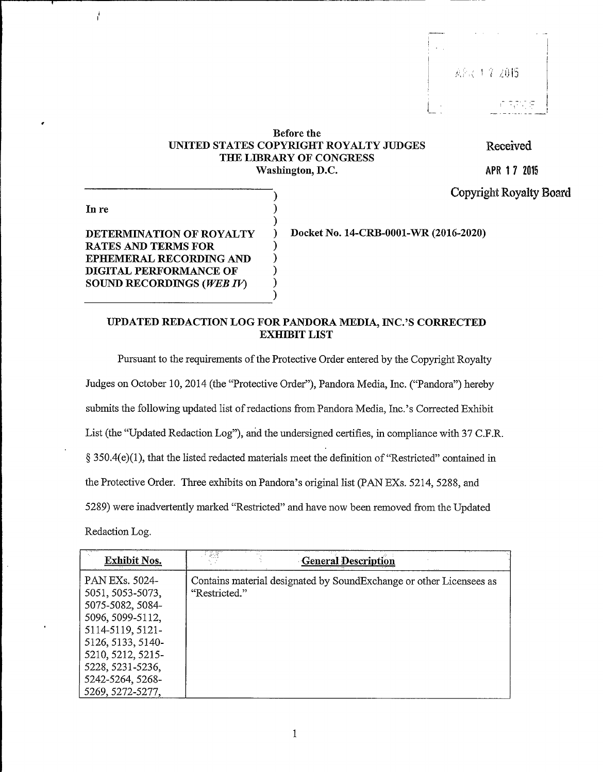## Before the UNITED STATES COPYRIGHT ROYALTY JUDGES THE LIBRARY OF CONGRESS Washington, D.C.

) )

) ) ) ) )

Received

APR 3 7 2015

Copyright Royalty Board )

In re

ł

DETERMINATION OF ROYALTY RATES AND TERMS FOR EPHEMERAL RECORDING AND DIGITAL PERFORMANCE OF SOUND RECORDINGS (WEB IV)

) Docket No. 14-CRB-0001-WR (2016-2020)

1

## UPDATED REDACTION LOG FOR PANDORA MEDIA, INC.'S CORRECTED EXHIBIT LIST

Pursuant to the requirements of the Protective Order entered by the Copyright Royalty Judges on October 10, 2014 (the "Protective Order"), Pandora Media, Inc. ("Pandora") hereby submits the following updated list of redactions from Pandora Media, Inc.'s Corrected Exhibit List (the "Updated Redaction Log"), and the undersigned certifies, in compliance with 37 C.F.R. ( 350.4(e)(1), that the listed redacted materials meet the definition of "Restricted" contained in the Protective Order. Three exhibits on Pandora's original list (PAN EXs. 5214, 5288, and 5289) were inadvertently marked "Restricted" and have now been removed from the Updated Redaction Log.

| <b>Exhibit Nos.</b>                                                                                                 | - 18<br><b>General Description</b>                                                   |
|---------------------------------------------------------------------------------------------------------------------|--------------------------------------------------------------------------------------|
| PAN EXs. 5024-<br>5051, 5053-5073,<br>5075-5082, 5084-<br>5096, 5099-5112,<br>5114-5119, 5121-<br>5126, 5133, 5140- | Contains material designated by SoundExchange or other Licensees as<br>"Restricted." |
| 5210, 5212, 5215-<br>5228, 5231-5236,<br>5242-5264, 5268-<br>5269, 5272-5277,                                       |                                                                                      |